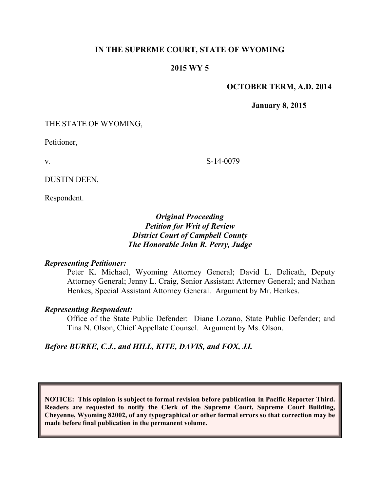### **IN THE SUPREME COURT, STATE OF WYOMING**

### **2015 WY 5**

#### **OCTOBER TERM, A.D. 2014**

**January 8, 2015**

THE STATE OF WYOMING,

Petitioner,

v.

S-14-0079

DUSTIN DEEN,

Respondent.

## *Original Proceeding Petition for Writ of Review District Court of Campbell County The Honorable John R. Perry, Judge*

#### *Representing Petitioner:*

Peter K. Michael, Wyoming Attorney General; David L. Delicath, Deputy Attorney General; Jenny L. Craig, Senior Assistant Attorney General; and Nathan Henkes, Special Assistant Attorney General. Argument by Mr. Henkes.

#### *Representing Respondent:*

Office of the State Public Defender: Diane Lozano, State Public Defender; and Tina N. Olson, Chief Appellate Counsel. Argument by Ms. Olson.

## *Before BURKE, C.J., and HILL, KITE, DAVIS, and FOX, JJ.*

**NOTICE: This opinion is subject to formal revision before publication in Pacific Reporter Third. Readers are requested to notify the Clerk of the Supreme Court, Supreme Court Building, Cheyenne, Wyoming 82002, of any typographical or other formal errors so that correction may be made before final publication in the permanent volume.**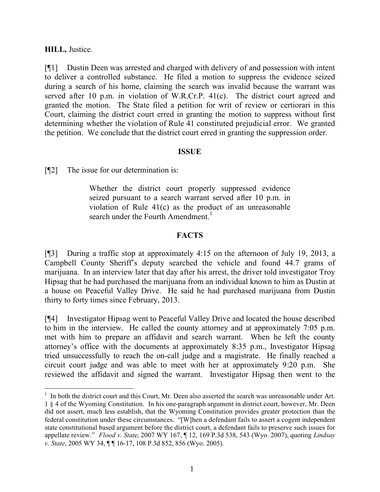### **HILL,** Justice.

 $\overline{a}$ 

[¶1] Dustin Deen was arrested and charged with delivery of and possession with intent to deliver a controlled substance. He filed a motion to suppress the evidence seized during a search of his home, claiming the search was invalid because the warrant was served after 10 p.m. in violation of W.R.Cr.P. 41(c). The district court agreed and granted the motion. The State filed a petition for writ of review or certiorari in this Court, claiming the district court erred in granting the motion to suppress without first determining whether the violation of Rule 41 constituted prejudicial error. We granted the petition. We conclude that the district court erred in granting the suppression order.

#### **ISSUE**

[¶2] The issue for our determination is:

Whether the district court properly suppressed evidence seized pursuant to a search warrant served after 10 p.m. in violation of Rule 41(c) as the product of an unreasonable search under the Fourth Amendment.<sup>1</sup>

# **FACTS**

[¶3] During a traffic stop at approximately 4:15 on the afternoon of July 19, 2013, a Campbell County Sheriff's deputy searched the vehicle and found 44.7 grams of marijuana. In an interview later that day after his arrest, the driver told investigator Troy Hipsag that he had purchased the marijuana from an individual known to him as Dustin at a house on Peaceful Valley Drive. He said he had purchased marijuana from Dustin thirty to forty times since February, 2013.

[¶4] Investigator Hipsag went to Peaceful Valley Drive and located the house described to him in the interview. He called the county attorney and at approximately 7:05 p.m. met with him to prepare an affidavit and search warrant. When he left the county attorney's office with the documents at approximately 8:35 p.m., Investigator Hipsag tried unsuccessfully to reach the on-call judge and a magistrate. He finally reached a circuit court judge and was able to meet with her at approximately 9:20 p.m. She reviewed the affidavit and signed the warrant. Investigator Hipsag then went to the

<sup>&</sup>lt;sup>1</sup> In both the district court and this Court, Mr. Deen also asserted the search was unreasonable under Art. 1 § 4 of the Wyoming Constitution. In his one-paragraph argument in district court, however, Mr. Deen did not assert, much less establish, that the Wyoming Constitution provides greater protection than the federal constitution under these circumstances. "[W]hen a defendant fails to assert a cogent independent state constitutional based argument before the district court, a defendant fails to preserve such issues for appellate review." *Flood v. State*, 2007 WY 167, ¶ 12, 169 P.3d 538, 543 (Wyo. 2007), quoting *Lindsay v. State*, 2005 WY 34, ¶ ¶ 16-17, 108 P.3d 852, 856 (Wyo. 2005).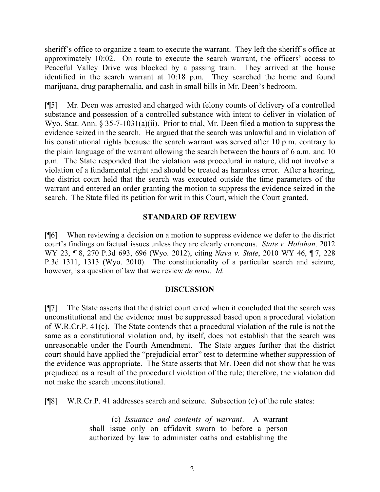sheriff's office to organize a team to execute the warrant. They left the sheriff's office at approximately 10:02. On route to execute the search warrant, the officers' access to Peaceful Valley Drive was blocked by a passing train. They arrived at the house identified in the search warrant at 10:18 p.m. They searched the home and found marijuana, drug paraphernalia, and cash in small bills in Mr. Deen's bedroom.

[¶5] Mr. Deen was arrested and charged with felony counts of delivery of a controlled substance and possession of a controlled substance with intent to deliver in violation of Wyo. Stat. Ann. § 35-7-1031(a)(ii). Prior to trial, Mr. Deen filed a motion to suppress the evidence seized in the search. He argued that the search was unlawful and in violation of his constitutional rights because the search warrant was served after 10 p.m. contrary to the plain language of the warrant allowing the search between the hours of 6 a.m. and 10 p.m. The State responded that the violation was procedural in nature, did not involve a violation of a fundamental right and should be treated as harmless error. After a hearing, the district court held that the search was executed outside the time parameters of the warrant and entered an order granting the motion to suppress the evidence seized in the search. The State filed its petition for writ in this Court, which the Court granted.

## **STANDARD OF REVIEW**

[¶6] When reviewing a decision on a motion to suppress evidence we defer to the district court's findings on factual issues unless they are clearly erroneous. *State v. Holohan,* 2012 WY 23, ¶ 8, 270 P.3d 693, 696 (Wyo. 2012), citing *Nava v. State*, 2010 WY 46, ¶ 7, 228 P.3d 1311, 1313 (Wyo. 2010). The constitutionality of a particular search and seizure, however, is a question of law that we review *de novo*. *Id*.

## **DISCUSSION**

[¶7] The State asserts that the district court erred when it concluded that the search was unconstitutional and the evidence must be suppressed based upon a procedural violation of W.R.Cr.P. 41(c). The State contends that a procedural violation of the rule is not the same as a constitutional violation and, by itself, does not establish that the search was unreasonable under the Fourth Amendment. The State argues further that the district court should have applied the "prejudicial error" test to determine whether suppression of the evidence was appropriate. The State asserts that Mr. Deen did not show that he was prejudiced as a result of the procedural violation of the rule; therefore, the violation did not make the search unconstitutional.

[¶8] W.R.Cr.P. 41 addresses search and seizure. Subsection (c) of the rule states:

(c) *Issuance and contents of warrant*. A warrant shall issue only on affidavit sworn to before a person authorized by law to administer oaths and establishing the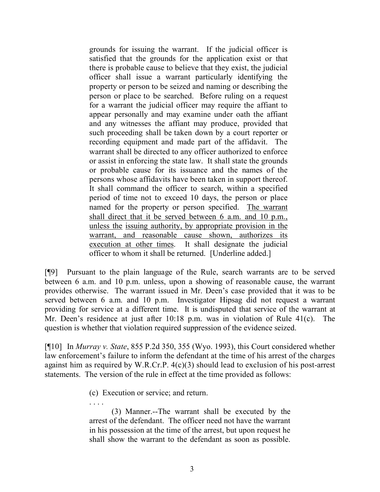grounds for issuing the warrant. If the judicial officer is satisfied that the grounds for the application exist or that there is probable cause to believe that they exist, the judicial officer shall issue a warrant particularly identifying the property or person to be seized and naming or describing the person or place to be searched. Before ruling on a request for a warrant the judicial officer may require the affiant to appear personally and may examine under oath the affiant and any witnesses the affiant may produce, provided that such proceeding shall be taken down by a court reporter or recording equipment and made part of the affidavit. The warrant shall be directed to any officer authorized to enforce or assist in enforcing the state law. It shall state the grounds or probable cause for its issuance and the names of the persons whose affidavits have been taken in support thereof. It shall command the officer to search, within a specified period of time not to exceed 10 days, the person or place named for the property or person specified. The warrant shall direct that it be served between 6 a.m. and 10 p.m., unless the issuing authority, by appropriate provision in the warrant, and reasonable cause shown, authorizes its execution at other times. It shall designate the judicial officer to whom it shall be returned. [Underline added.]

[¶9] Pursuant to the plain language of the Rule, search warrants are to be served between 6 a.m. and 10 p.m. unless, upon a showing of reasonable cause, the warrant provides otherwise. The warrant issued in Mr. Deen's case provided that it was to be served between 6 a.m. and 10 p.m. Investigator Hipsag did not request a warrant providing for service at a different time. It is undisputed that service of the warrant at Mr. Deen's residence at just after 10:18 p.m. was in violation of Rule 41(c). The question is whether that violation required suppression of the evidence seized.

[¶10] In *Murray v. State*, 855 P.2d 350, 355 (Wyo. 1993), this Court considered whether law enforcement's failure to inform the defendant at the time of his arrest of the charges against him as required by W.R.Cr.P. 4(c)(3) should lead to exclusion of his post-arrest statements. The version of the rule in effect at the time provided as follows:

(c) Execution or service; and return.

. . . .

(3) Manner.--The warrant shall be executed by the arrest of the defendant. The officer need not have the warrant in his possession at the time of the arrest, but upon request he shall show the warrant to the defendant as soon as possible.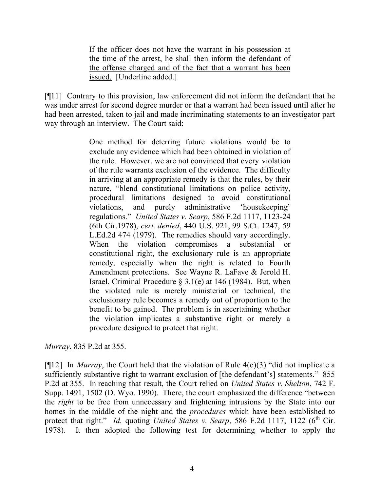If the officer does not have the warrant in his possession at the time of the arrest, he shall then inform the defendant of the offense charged and of the fact that a warrant has been issued. [Underline added.]

[¶11] Contrary to this provision, law enforcement did not inform the defendant that he was under arrest for second degree murder or that a warrant had been issued until after he had been arrested, taken to jail and made incriminating statements to an investigator part way through an interview. The Court said:

> One method for deterring future violations would be to exclude any evidence which had been obtained in violation of the rule. However, we are not convinced that every violation of the rule warrants exclusion of the evidence. The difficulty in arriving at an appropriate remedy is that the rules, by their nature, "blend constitutional limitations on police activity, procedural limitations designed to avoid constitutional violations, and purely administrative 'housekeeping' regulations." *United States v. Searp*, 586 F.2d 1117, 1123-24 (6th Cir.1978), *cert. denied*, 440 U.S. 921, 99 S.Ct. 1247, 59 L.Ed.2d 474 (1979). The remedies should vary accordingly. When the violation compromises a substantial or constitutional right, the exclusionary rule is an appropriate remedy, especially when the right is related to Fourth Amendment protections. See Wayne R. LaFave & Jerold H. Israel, Criminal Procedure  $\S 3.1(e)$  at 146 (1984). But, when the violated rule is merely ministerial or technical, the exclusionary rule becomes a remedy out of proportion to the benefit to be gained. The problem is in ascertaining whether the violation implicates a substantive right or merely a procedure designed to protect that right.

*Murray*, 835 P.2d at 355.

[ $[12]$  In *Murray*, the Court held that the violation of Rule 4(c)(3) "did not implicate a sufficiently substantive right to warrant exclusion of [the defendant's] statements." 855 P.2d at 355. In reaching that result, the Court relied on *United States v. Shelton*, 742 F. Supp. 1491, 1502 (D. Wyo. 1990). There, the court emphasized the difference "between the *right* to be free from unnecessary and frightening intrusions by the State into our homes in the middle of the night and the *procedures* which have been established to protect that right." *Id.* quoting *United States v. Searp*, 586 F.2d 1117, 1122 ( $6^{th}$  Cir. 1978). It then adopted the following test for determining whether to apply the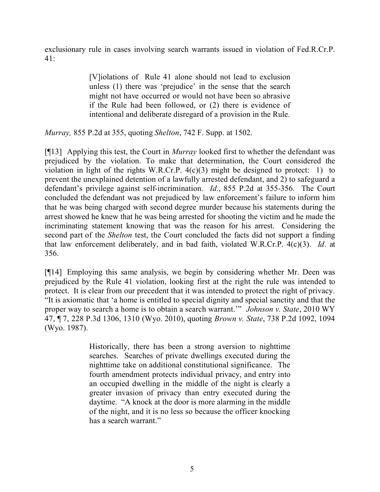exclusionary rule in cases involving search warrants issued in violation of Fed.R.Cr.P. 41:

> [V]iolations of Rule 41 alone should not lead to exclusion unless (1) there was 'prejudice' in the sense that the search might not have occurred or would not have been so abrasive if the Rule had been followed, or (2) there is evidence of intentional and deliberate disregard of a provision in the Rule.

*Murray,* 855 P.2d at 355, quoting *Shelton*, 742 F. Supp. at 1502.

[¶13] Applying this test, the Court in *Murray* looked first to whether the defendant was prejudiced by the violation. To make that determination, the Court considered the violation in light of the rights W.R.Cr.P. 4(c)(3) might be designed to protect: 1) to prevent the unexplained detention of a lawfully arrested defendant, and 2) to safeguard a defendant's privilege against self-incrimination. *Id*., 855 P.2d at 355-356. The Court concluded the defendant was not prejudiced by law enforcement's failure to inform him that he was being charged with second degree murder because his statements during the arrest showed he knew that he was being arrested for shooting the victim and he made the incriminating statement knowing that was the reason for his arrest. Considering the second part of the *Shelton* test, the Court concluded the facts did not support a finding that law enforcement deliberately, and in bad faith, violated W.R.Cr.P. 4(c)(3). *Id*. at 356.

[¶14] Employing this same analysis, we begin by considering whether Mr. Deen was prejudiced by the Rule 41 violation, looking first at the right the rule was intended to protect. It is clear from our precedent that it was intended to protect the right of privacy. "It is axiomatic that 'a home is entitled to special dignity and special sanctity and that the proper way to search a home is to obtain a search warrant.'" *Johnson v. State*, 2010 WY 47, ¶ 7, 228 P.3d 1306, 1310 (Wyo. 2010), quoting *Brown v. State*, 738 P.2d 1092, 1094 (Wyo. 1987).

> Historically, there has been a strong aversion to nighttime searches. Searches of private dwellings executed during the nighttime take on additional constitutional significance. The fourth amendment protects individual privacy, and entry into an occupied dwelling in the middle of the night is clearly a greater invasion of privacy than entry executed during the daytime. "A knock at the door is more alarming in the middle of the night, and it is no less so because the officer knocking has a search warrant."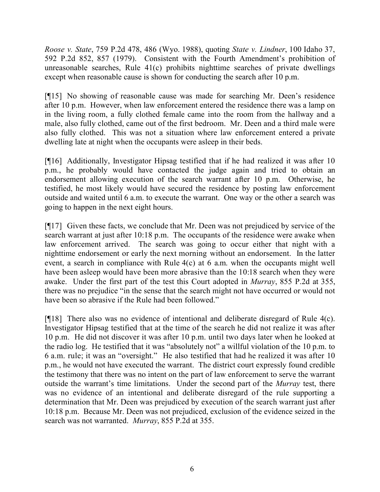*Roose v. State*, 759 P.2d 478, 486 (Wyo. 1988), quoting *State v. Lindner*, 100 Idaho 37, 592 P.2d 852, 857 (1979). Consistent with the Fourth Amendment's prohibition of unreasonable searches, Rule 41(c) prohibits nighttime searches of private dwellings except when reasonable cause is shown for conducting the search after 10 p.m.

[¶15] No showing of reasonable cause was made for searching Mr. Deen's residence after 10 p.m. However, when law enforcement entered the residence there was a lamp on in the living room, a fully clothed female came into the room from the hallway and a male, also fully clothed, came out of the first bedroom. Mr. Deen and a third male were also fully clothed. This was not a situation where law enforcement entered a private dwelling late at night when the occupants were asleep in their beds.

[¶16] Additionally, Investigator Hipsag testified that if he had realized it was after 10 p.m., he probably would have contacted the judge again and tried to obtain an endorsement allowing execution of the search warrant after 10 p.m. Otherwise, he testified, he most likely would have secured the residence by posting law enforcement outside and waited until 6 a.m. to execute the warrant. One way or the other a search was going to happen in the next eight hours.

[¶17] Given these facts, we conclude that Mr. Deen was not prejudiced by service of the search warrant at just after 10:18 p.m. The occupants of the residence were awake when law enforcement arrived. The search was going to occur either that night with a nighttime endorsement or early the next morning without an endorsement. In the latter event, a search in compliance with Rule 4(c) at 6 a.m. when the occupants might well have been asleep would have been more abrasive than the 10:18 search when they were awake. Under the first part of the test this Court adopted in *Murray*, 855 P.2d at 355, there was no prejudice "in the sense that the search might not have occurred or would not have been so abrasive if the Rule had been followed."

[¶18] There also was no evidence of intentional and deliberate disregard of Rule 4(c). Investigator Hipsag testified that at the time of the search he did not realize it was after 10 p.m. He did not discover it was after 10 p.m. until two days later when he looked at the radio log. He testified that it was "absolutely not" a willful violation of the 10 p.m. to 6 a.m. rule; it was an "oversight." He also testified that had he realized it was after 10 p.m., he would not have executed the warrant. The district court expressly found credible the testimony that there was no intent on the part of law enforcement to serve the warrant outside the warrant's time limitations. Under the second part of the *Murray* test, there was no evidence of an intentional and deliberate disregard of the rule supporting a determination that Mr. Deen was prejudiced by execution of the search warrant just after 10:18 p.m. Because Mr. Deen was not prejudiced, exclusion of the evidence seized in the search was not warranted. *Murray*, 855 P.2d at 355.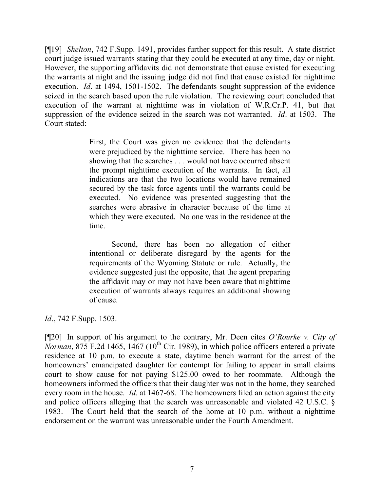[¶19] *Shelton*, 742 F.Supp. 1491, provides further support for this result. A state district court judge issued warrants stating that they could be executed at any time, day or night. However, the supporting affidavits did not demonstrate that cause existed for executing the warrants at night and the issuing judge did not find that cause existed for nighttime execution. *Id*. at 1494, 1501-1502. The defendants sought suppression of the evidence seized in the search based upon the rule violation. The reviewing court concluded that execution of the warrant at nighttime was in violation of W.R.Cr.P. 41, but that suppression of the evidence seized in the search was not warranted. *Id*. at 1503. The Court stated:

> First, the Court was given no evidence that the defendants were prejudiced by the nighttime service. There has been no showing that the searches . . . would not have occurred absent the prompt nighttime execution of the warrants. In fact, all indications are that the two locations would have remained secured by the task force agents until the warrants could be executed. No evidence was presented suggesting that the searches were abrasive in character because of the time at which they were executed. No one was in the residence at the time.

> Second, there has been no allegation of either intentional or deliberate disregard by the agents for the requirements of the Wyoming Statute or rule. Actually, the evidence suggested just the opposite, that the agent preparing the affidavit may or may not have been aware that nighttime execution of warrants always requires an additional showing of cause.

*Id*., 742 F.Supp. 1503.

[¶20] In support of his argument to the contrary, Mr. Deen cites *O'Rourke v. City of F.2d 1465, 1467 (10<sup>th</sup> Cir. 1989), in which police officers entered a private* residence at 10 p.m. to execute a state, daytime bench warrant for the arrest of the homeowners' emancipated daughter for contempt for failing to appear in small claims court to show cause for not paying \$125.00 owed to her roommate. Although the homeowners informed the officers that their daughter was not in the home, they searched every room in the house. *Id.* at 1467-68. The homeowners filed an action against the city and police officers alleging that the search was unreasonable and violated 42 U.S.C. § 1983. The Court held that the search of the home at 10 p.m. without a nighttime endorsement on the warrant was unreasonable under the Fourth Amendment.